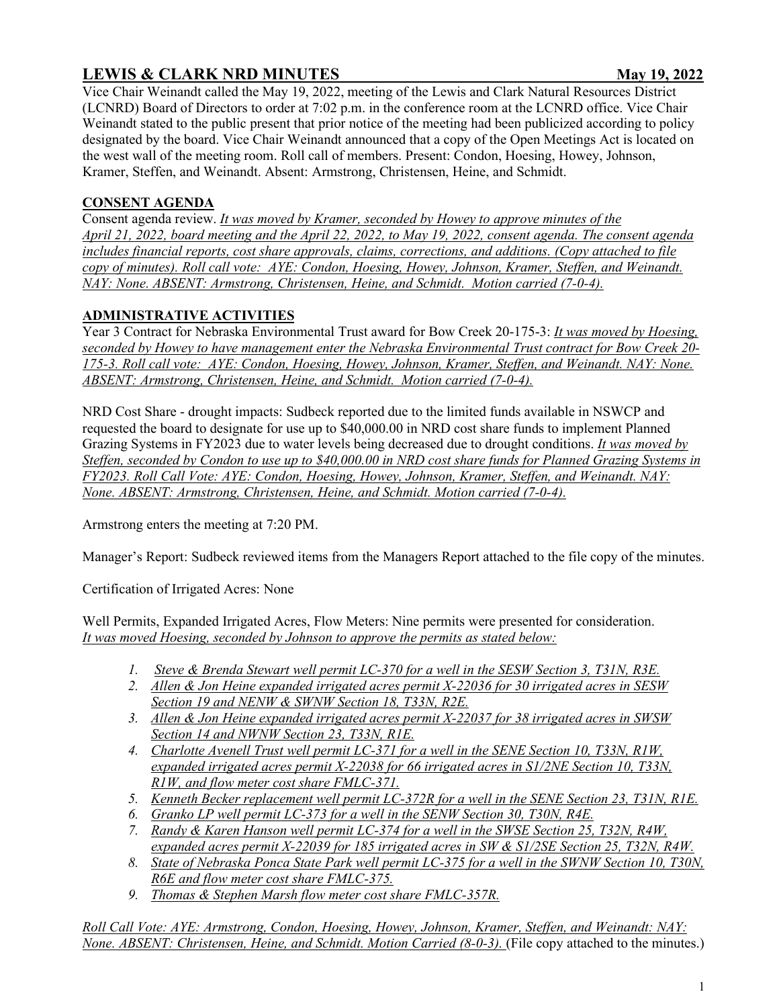# **LEWIS & CLARK NRD MINUTES** May 19, 2022

Vice Chair Weinandt called the May 19, 2022, meeting of the Lewis and Clark Natural Resources District (LCNRD) Board of Directors to order at 7:02 p.m. in the conference room at the LCNRD office. Vice Chair Weinandt stated to the public present that prior notice of the meeting had been publicized according to policy designated by the board. Vice Chair Weinandt announced that a copy of the Open Meetings Act is located on the west wall of the meeting room. Roll call of members. Present: Condon, Hoesing, Howey, Johnson, Kramer, Steffen, and Weinandt. Absent: Armstrong, Christensen, Heine, and Schmidt.

### **CONSENT AGENDA**

Consent agenda review. *It was moved by Kramer, seconded by Howey to approve minutes of the April 21, 2022, board meeting and the April 22, 2022, to May 19, 2022, consent agenda. The consent agenda includes financial reports, cost share approvals, claims, corrections, and additions. (Copy attached to file copy of minutes). Roll call vote: AYE: Condon, Hoesing, Howey, Johnson, Kramer, Steffen, and Weinandt. NAY: None. ABSENT: Armstrong, Christensen, Heine, and Schmidt. Motion carried (7-0-4).*

## **ADMINISTRATIVE ACTIVITIES**

Year 3 Contract for Nebraska Environmental Trust award for Bow Creek 20-175-3: *It was moved by Hoesing, seconded by Howey to have management enter the Nebraska Environmental Trust contract for Bow Creek 20- 175-3. Roll call vote: AYE: Condon, Hoesing, Howey, Johnson, Kramer, Steffen, and Weinandt. NAY: None. ABSENT: Armstrong, Christensen, Heine, and Schmidt. Motion carried (7-0-4).*

NRD Cost Share - drought impacts: Sudbeck reported due to the limited funds available in NSWCP and requested the board to designate for use up to \$40,000.00 in NRD cost share funds to implement Planned Grazing Systems in FY2023 due to water levels being decreased due to drought conditions. *It was moved by Steffen, seconded by Condon to use up to \$40,000.00 in NRD cost share funds for Planned Grazing Systems in FY2023. Roll Call Vote: AYE: Condon, Hoesing, Howey, Johnson, Kramer, Steffen, and Weinandt. NAY: None. ABSENT: Armstrong, Christensen, Heine, and Schmidt. Motion carried (7-0-4).*

Armstrong enters the meeting at 7:20 PM.

Manager's Report: Sudbeck reviewed items from the Managers Report attached to the file copy of the minutes.

Certification of Irrigated Acres: None

Well Permits, Expanded Irrigated Acres, Flow Meters: Nine permits were presented for consideration. *It was moved Hoesing, seconded by Johnson to approve the permits as stated below:*

- *1. Steve & Brenda Stewart well permit LC-370 for a well in the SESW Section 3, T31N, R3E.*
- *2. Allen & Jon Heine expanded irrigated acres permit X-22036 for 30 irrigated acres in SESW Section 19 and NENW & SWNW Section 18, T33N, R2E.*
- *3. Allen & Jon Heine expanded irrigated acres permit X-22037 for 38 irrigated acres in SWSW Section 14 and NWNW Section 23, T33N, R1E.*
- *4. Charlotte Avenell Trust well permit LC-371 for a well in the SENE Section 10, T33N, R1W, expanded irrigated acres permit X-22038 for 66 irrigated acres in S1/2NE Section 10, T33N, R1W, and flow meter cost share FMLC-371.*
- *5. Kenneth Becker replacement well permit LC-372R for a well in the SENE Section 23, T31N, R1E.*
- *6. Granko LP well permit LC-373 for a well in the SENW Section 30, T30N, R4E.*
- *7. Randy & Karen Hanson well permit LC-374 for a well in the SWSE Section 25, T32N, R4W, expanded acres permit X-22039 for 185 irrigated acres in SW & S1/2SE Section 25, T32N, R4W.*
- *8. State of Nebraska Ponca State Park well permit LC-375 for a well in the SWNW Section 10, T30N, R6E and flow meter cost share FMLC-375.*
- *9. Thomas & Stephen Marsh flow meter cost share FMLC-357R.*

*Roll Call Vote: AYE: Armstrong, Condon, Hoesing, Howey, Johnson, Kramer, Steffen, and Weinandt: NAY: None. ABSENT: Christensen, Heine, and Schmidt. Motion Carried (8-0-3).* (File copy attached to the minutes.)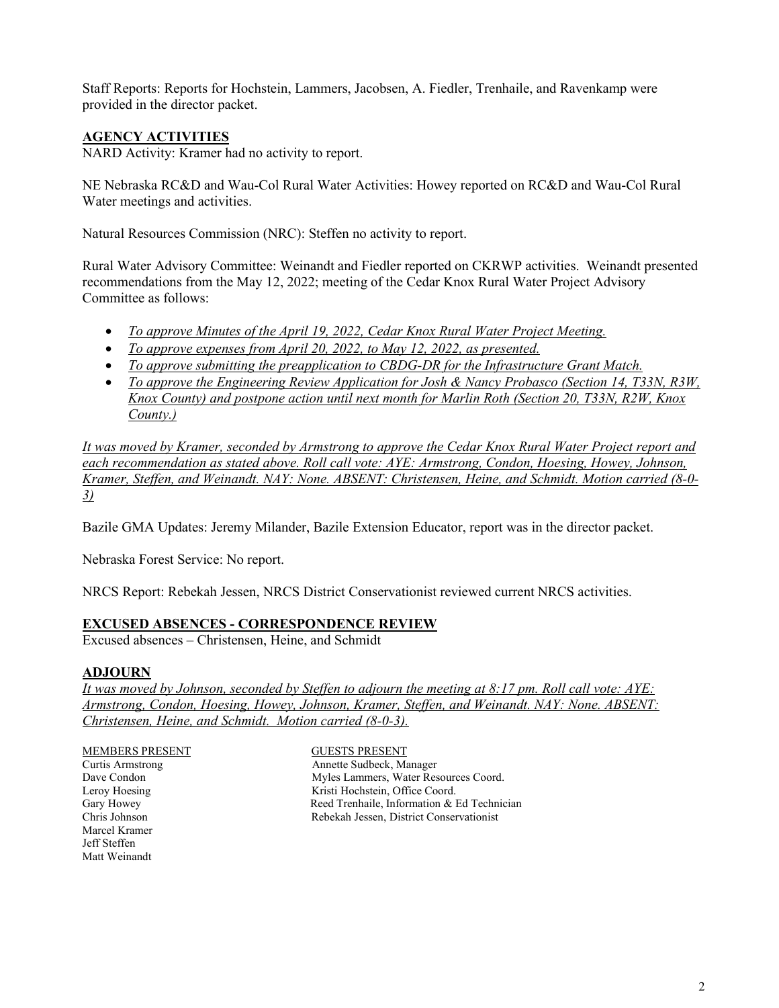Staff Reports: Reports for Hochstein, Lammers, Jacobsen, A. Fiedler, Trenhaile, and Ravenkamp were provided in the director packet.

### **AGENCY ACTIVITIES**

NARD Activity: Kramer had no activity to report.

NE Nebraska RC&D and Wau-Col Rural Water Activities: Howey reported on RC&D and Wau-Col Rural Water meetings and activities.

Natural Resources Commission (NRC): Steffen no activity to report.

Rural Water Advisory Committee: Weinandt and Fiedler reported on CKRWP activities. Weinandt presented recommendations from the May 12, 2022; meeting of the Cedar Knox Rural Water Project Advisory Committee as follows:

- *To approve Minutes of the April 19, 2022, Cedar Knox Rural Water Project Meeting.*
- *To approve expenses from April 20, 2022, to May 12, 2022, as presented.*
- *To approve submitting the preapplication to CBDG-DR for the Infrastructure Grant Match.*
- *To approve the Engineering Review Application for Josh & Nancy Probasco (Section 14, T33N, R3W, Knox County) and postpone action until next month for Marlin Roth (Section 20, T33N, R2W, Knox County.)*

*It was moved by Kramer, seconded by Armstrong to approve the Cedar Knox Rural Water Project report and each recommendation as stated above. Roll call vote: AYE: Armstrong, Condon, Hoesing, Howey, Johnson, Kramer, Steffen, and Weinandt. NAY: None. ABSENT: Christensen, Heine, and Schmidt. Motion carried (8-0- 3)*

Bazile GMA Updates: Jeremy Milander, Bazile Extension Educator, report was in the director packet.

Nebraska Forest Service: No report.

NRCS Report: Rebekah Jessen, NRCS District Conservationist reviewed current NRCS activities.

#### **EXCUSED ABSENCES - CORRESPONDENCE REVIEW**

Excused absences – Christensen, Heine, and Schmidt

#### **ADJOURN**

*It was moved by Johnson, seconded by Steffen to adjourn the meeting at 8:17 pm. Roll call vote: AYE: Armstrong, Condon, Hoesing, Howey, Johnson, Kramer, Steffen, and Weinandt. NAY: None. ABSENT: Christensen, Heine, and Schmidt. Motion carried (8-0-3).* 

Marcel Kramer Jeff Steffen Matt Weinandt

MEMBERS PRESENT GUESTS PRESENT Curtis Armstrong **Annette** Sudbeck, Manager Dave Condon Myles Lammers, Water Resources Coord.<br>
Leroy Hoesing Kristi Hochstein, Office Coord. Leroy Hoesing The Real Extraction Coord.<br>
Gary Howey The Reed Trenhaile, Information & 1 Reed Trenhaile, Information & Ed Technician Chris Johnson Rebekah Jessen, District Conservationist